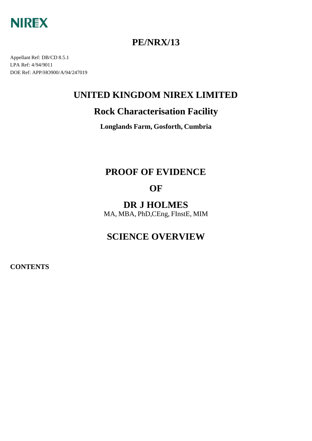

## **PE/NRX/13**

Appellant Ref: DB/CD 8.5.1 LPA Ref: 4/94/9011 DOE Ref: APP/HO900/A/94/247019

## **UNITED KINGDOM NIREX LIMITED**

## **Rock Characterisation Facility**

**Longlands Farm, Gosforth, Cumbria**

# **PROOF OF EVIDENCE**

# **OF**

**DR J HOLMES** MA, MBA, PhD,CEng, FInstE, MIM

# **SCIENCE OVERVIEW**

**CONTENTS**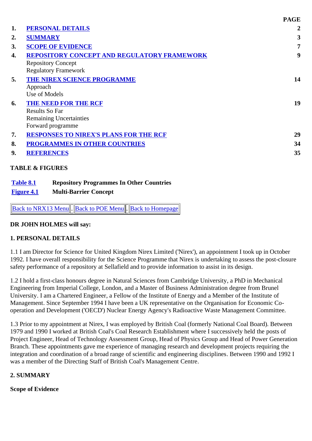|                  |                                               | <b>PAGE</b>             |
|------------------|-----------------------------------------------|-------------------------|
| 1.               | <b>PERSONAL DETAILS</b>                       | $\boldsymbol{2}$        |
| $\overline{2}$ . | <b>SUMMARY</b>                                | $\overline{\mathbf{3}}$ |
| 3.               | <b>SCOPE OF EVIDENCE</b>                      | 7                       |
| 4.               | REPOSITORY CONCEPT AND REGULATORY FRAMEWORK   | 9                       |
|                  | <b>Repository Concept</b>                     |                         |
|                  | <b>Regulatory Framework</b>                   |                         |
| 5.               | THE NIREX SCIENCE PROGRAMME                   | 14                      |
|                  | Approach                                      |                         |
|                  | Use of Models                                 |                         |
| 6.               | <b>THE NEED FOR THE RCF</b>                   | 19                      |
|                  | <b>Results So Far</b>                         |                         |
|                  | <b>Remaining Uncertainties</b>                |                         |
|                  | Forward programme                             |                         |
| 7.               | <b>RESPONSES TO NIREX'S PLANS FOR THE RCF</b> | 29                      |
| 8.               | <b>PROGRAMMES IN OTHER COUNTRIES</b>          | 34                      |
|                  | <b>REFERENCES</b>                             | 35                      |

| Table 8.1                | <b>Repository Programmes In Other Countries</b> |
|--------------------------|-------------------------------------------------|
| <u><b>Figure 4.1</b></u> | <b>Multi-Barrier Concept</b>                    |

Back to NRX13 Menu. Back to POE Menu. Back to Homepage

#### **DR JOHN HOLMES will say:**

#### **1. PERSONAL DETAILS**

1.1 I am Director for Science for United Kingdom Nirex Limited ('Nirex'), an appointment I took up in October 1992. I have overall responsibility for the Science Programme that Nirex is undertaking to assess the post-closure safety performance of a repository at Sellafield and to provide information to assist in its design.

1.2 I hold a first-class honours degree in Natural Sciences from Cambridge University, a PhD in Mechanical Engineering from Imperial College, London, and a Master of Business Administration degree from Brunel University. I am a Chartered Engineer, a Fellow of the Institute of Energy and a Member of the Institute of Management. Since September 1994 I have been a UK representative on the Organisation for Economic Cooperation and Development ('OECD') Nuclear Energy Agency's Radioactive Waste Management Committee.

1.3 Prior to my appointment at Nirex, I was employed by British Coal (formerly National Coal Board). Between 1979 and 1990 I worked at British Coal's Coal Research Establishment where I successively held the posts of Project Engineer, Head of Technology Assessment Group, Head of Physics Group and Head of Power Generation Branch. These appointments gave me experience of managing research and development projects requiring the integration and coordination of a broad range of scientific and engineering disciplines. Between 1990 and 1992 I was a member of the Directing Staff of British Coal's Management Centre.

#### **2. SUMMARY**

#### **Scope of Evidence**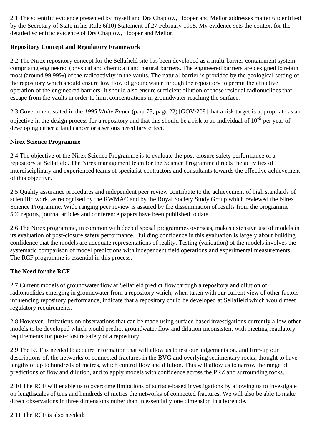2.1 The scientific evidence presented by myself and Drs Chaplow, Hooper and Mellor addresses matter 6 identified by the Secretary of State in his Rule 6(10) Statement of 27 February 1995. My evidence sets the context for the detailed scientific evidence of Drs Chaplow, Hooper and Mellor.

## **Repository Concept and Regulatory Framework**

2.2 The Nirex repository concept for the Sellafield site has been developed as a multi-barrier containment system comprising engineered (physical and chemical) and natural barriers. The engineered barriers are designed to retain most (around 99.99%) of the radioactivity in the vaults. The natural barrier is provided by the geological setting of the repository which should ensure low flow of groundwater through the repository to permit the effective operation of the engineered barriers. It should also ensure sufficient dilution of those residual radionuclides that escape from the vaults in order to limit concentrations in groundwater reaching the surface.

2.3 Government stated in the *1995 White Paper* (para 78, page 22) [GOV/208] that a risk target is appropriate as an objective in the design process for a repository and that this should be a risk to an individual of 10-6 per year of developing either a fatal cancer or a serious hereditary effect.

## **Nirex Science Programme**

2.4 The objective of the Nirex Science Programme is to evaluate the post-closure safety performance of a repository at Sellafield. The Nirex management team for the Science Programme directs the activities of interdisciplinary and experienced teams of specialist contractors and consultants towards the effective achievement of this objective.

2.5 Quality assurance procedures and independent peer review contribute to the achievement of high standards of scientific work, as recognised by the RWMAC and by the Royal Society Study Group which reviewed the Nirex Science Programme. Wide ranging peer review is assured by the dissemination of results from the programme : 500 reports, journal articles and conference papers have been published to date.

2.6 The Nirex programme, in common with deep disposal programmes overseas, makes extensive use of models in its evaluation of post-closure safety performance. Building confidence in this evaluation is largely about building confidence that the models are adequate representations of reality. Testing (validation) of the models involves the systematic comparison of model predictions with independent field operations and experimental measurements. The RCF programme is essential in this process.

## **The Need for the RCF**

2.7 Current models of groundwater flow at Sellafield predict flow through a repository and dilution of radionuclides emerging in groundwater from a repository which, when taken with our current view of other factors influencing repository performance, indicate that a repository could be developed at Sellafield which would meet regulatory requirements.

2.8 However, limitations on observations that can be made using surface-based investigations currently allow other models to be developed which would predict groundwater flow and dilution inconsistent with meeting regulatory requirements for post-closure safety of a repository.

2.9 The RCF is needed to acquire information that will allow us to test our judgements on, and firm-up our descriptions of, the networks of connected fractures in the BVG and overlying sedimentary rocks, thought to have lengths of up to hundreds of metres, which control flow and dilution. This will allow us to narrow the range of predictions of flow and dilution, and to apply models with confidence across the PRZ and surrounding rocks.

2.10 The RCF will enable us to overcome limitations of surface-based investigations by allowing us to investigate on lengthscales of tens and hundreds of metres the networks of connected fractures. We will also be able to make direct observations in three dimensions rather than in essentially one dimension in a borehole.

2.11 The RCF is also needed: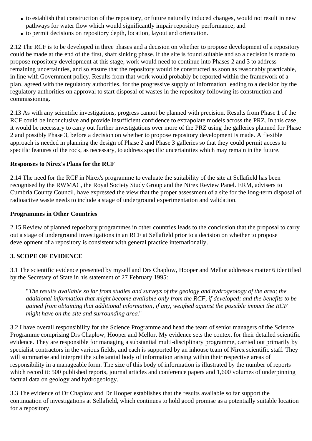- to establish that construction of the repository, or future naturally induced changes, would not result in new pathways for water flow which would significantly impair repository performance; and
- to permit decisions on repository depth, location, layout and orientation.

2.12 The RCF is to be developed in three phases and a decision on whether to propose development of a repository could be made at the end of the first, shaft sinking phase. If the site is found suitable and so a decision is made to propose repository development at this stage, work would need to continue into Phases 2 and 3 to address remaining uncertainties, and so ensure that the repository would be constructed as soon as reasonably practicable, in line with Government policy. Results from that work would probably be reported within the framework of a plan, agreed with the regulatory authorities, for the progressive supply of information leading to a decision by the regulatory authorities on approval to start disposal of wastes in the repository following its construction and commissioning.

2.13 As with any scientific investigations, progress cannot be planned with precision. Results from Phase 1 of the RCF could be inconclusive and provide insufficient confidence to extrapolate models across the PRZ. In this case, it would be necessary to carry out further investigations over more of the PRZ using the galleries planned for Phase 2 and possibly Phase 3, before a decision on whether to propose repository development is made. A flexible approach is needed in planning the design of Phase 2 and Phase 3 galleries so that they could permit access to specific features of the rock, as necessary, to address specific uncertainties which may remain in the future.

#### **Responses to Nirex's Plans for the RCF**

2.14 The need for the RCF in Nirex's programme to evaluate the suitability of the site at Sellafield has been recognised by the RWMAC, the Royal Society Study Group and the Nirex Review Panel. ERM, advisers to Cumbria County Council, have expressed the view that the proper assessment of a site for the long-term disposal of radioactive waste needs to include a stage of underground experimentation and validation.

#### **Programmes in Other Countries**

2.15 Review of planned repository programmes in other countries leads to the conclusion that the proposal to carry out a stage of underground investigations in an RCF at Sellafield prior to a decision on whether to propose development of a repository is consistent with general practice internationally.

## **3. SCOPE OF EVIDENCE**

3.1 The scientific evidence presented by myself and Drs Chaplow, Hooper and Mellor addresses matter 6 identified by the Secretary of State in his statement of 27 February 1995:

"*The results available so far from studies and surveys of the geology and hydrogeology of the area; the additional information that might become available only from the RCF, if developed; and the benefits to be gained from obtaining that additional information, if any, weighed against the possible impact the RCF might have on the site and surrounding area.*"

3.2 I have overall responsibility for the Science Programme and head the team of senior managers of the Science Programme comprising Drs Chaplow, Hooper and Mellor. My evidence sets the context for their detailed scientific evidence. They are responsible for managing a substantial multi-disciplinary programme, carried out primarily by specialist contractors in the various fields, and each is supported by an inhouse team of Nirex scientific staff. They will summarise and interpret the substantial body of information arising within their respective areas of responsibility in a manageable form. The size of this body of information is illustrated by the number of reports which record it: 500 published reports, journal articles and conference papers and 1,600 volumes of underpinning factual data on geology and hydrogeology.

3.3 The evidence of Dr Chaplow and Dr Hooper establishes that the results available so far support the continuation of investigations at Sellafield, which continues to hold good promise as a potentially suitable location for a repository.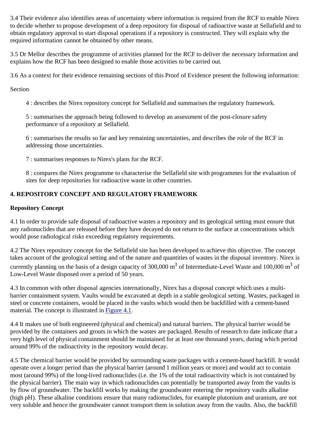3.4 Their evidence also identifies areas of uncertainty where information is required from the RCF to enable Nirex to decide whether to propose development of a deep repository for disposal of radioactive waste at Sellafield and to obtain regulatory approval to start disposal operations if a repository is constructed. They will explain why the required information cannot be obtained by other means.

3.5 Dr Mellor describes the programme of activities planned for the RCF to deliver the necessary information and explains how the RCF has been designed to enable those activities to be carried out.

3.6 As a context for their evidence remaining sections of this Proof of Evidence present the following information:

Section

4 : describes the Nirex repository concept for Sellafield and summarises the regulatory framework.

5 : summarises the approach being followed to develop an assessment of the post-closure safety performance of a repository at Sellafield.

6 : summarises the results so far and key remaining uncertainties, and describes the role of the RCF in addressing those uncertainties.

7 : summarises responses to Nirex's plans for the RCF.

8 : compares the Nirex programme to characterise the Sellafield site with programmes for the evaluation of sites for deep repositories for radioactive waste in other countries.

## **4. REPOSITORY CONCEPT AND REGULATORY FRAMEWORK**

### **Repository Concept**

4.1 In order to provide safe disposal of radioactive wastes a repository and its geological setting must ensure that any radionuclides that are released before they have decayed do not return to the surface at concentrations which would pose radiological risks exceeding regulatory requirements.

4.2 The Nirex repository concept for the Sellafield site has been developed to achieve this objective. The concept takes account of the geological setting and of the nature and quantities of wastes in the disposal inventory. Nirex is currently planning on the basis of a design capacity of 300,000 m<sup>3</sup> of Intermediate-Level Waste and 100,000 m<sup>3</sup> of Low-Level Waste disposed over a period of 50 years.

4.3 In common with other disposal agencies internationally, Nirex has a disposal concept which uses a multibarrier containment system. Vaults would be excavated at depth in a stable geological setting. Wastes, packaged in steel or concrete containers, would be placed in the vaults which would then be backfilled with a cement-based material. The concept is illustrated in Figure 4.1.

4.4 It makes use of both engineered (physical and chemical) and natural barriers. The physical barrier would be provided by the containers and grouts in which the wastes are packaged. Results of research to date indicate that a very high level of physical containment should be maintained for at least one thousand years, during which period around 99% of the radioactivity in the repository would decay.

4.5 The chemical barrier would be provided by surrounding waste packages with a cement-based backfill. It would operate over a longer period than the physical barrier (around 1 million years or more) and would act to contain most (around 99%) of the long-lived radionuclides (i.e. the 1% of the total radioactivity which is not contained by the physical barrier). The main way in which radionuclides can potentially be transported away from the vaults is by flow of groundwater. The backfill works by making the groundwater entering the repository vaults alkaline (high pH). These alkaline conditions ensure that many radionuclides, for example plutonium and uranium, are not very soluble and hence the groundwater cannot transport them in solution away from the vaults. Also, the backfill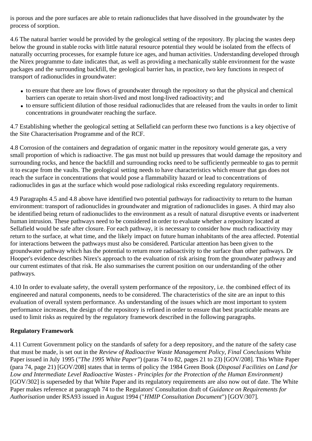is porous and the pore surfaces are able to retain radionuclides that have dissolved in the groundwater by the process of sorption.

4.6 The natural barrier would be provided by the geological setting of the repository. By placing the wastes deep below the ground in stable rocks with little natural resource potential they would be isolated from the effects of naturally occurring processes, for example future ice ages, and human activities. Understanding developed through the Nirex programme to date indicates that, as well as providing a mechanically stable environment for the waste packages and the surrounding backfill, the geological barrier has, in practice, two key functions in respect of transport of radionuclides in groundwater:

- to ensure that there are low flows of groundwater through the repository so that the physical and chemical barriers can operate to retain short-lived and most long-lived radioactivity; and
- to ensure sufficient dilution of those residual radionuclides that are released from the vaults in order to limit concentrations in groundwater reaching the surface.

4.7 Establishing whether the geological setting at Sellafield can perform these two functions is a key objective of the Site Characterisation Programme and of the RCF.

4.8 Corrosion of the containers and degradation of organic matter in the repository would generate gas, a very small proportion of which is radioactive. The gas must not build up pressures that would damage the repository and surrounding rocks, and hence the backfill and surrounding rocks need to be sufficiently permeable to gas to permit it to escape from the vaults. The geological setting needs to have characteristics which ensure that gas does not reach the surface in concentrations that would pose a flammability hazard or lead to concentrations of radionuclides in gas at the surface which would pose radiological risks exceeding regulatory requirements.

4.9 Paragraphs 4.5 and 4.8 above have identified two potential pathways for radioactivity to return to the human environment: transport of radionuclides in groundwater and migration of radionuclides in gases. A third may also be identified being return of radionuclides to the environment as a result of natural disruptive events or inadvertent human intrusion. These pathways need to be considered in order to evaluate whether a repository located at Sellafield would be safe after closure. For each pathway, it is necessary to consider how much radioactivity may return to the surface, at what time, and the likely impact on future human inhabitants of the area affected. Potential for interactions between the pathways must also be considered. Particular attention has been given to the groundwater pathway which has the potential to return more radioactivity to the surface than other pathways. Dr Hooper's evidence describes Nirex's approach to the evaluation of risk arising from the groundwater pathway and our current estimates of that risk. He also summarises the current position on our understanding of the other pathways.

4.10 In order to evaluate safety, the overall system performance of the repository, i.e. the combined effect of its engineered and natural components, needs to be considered. The characteristics of the site are an input to this evaluation of overall system performance. As understanding of the issues which are most important to system performance increases, the design of the repository is refined in order to ensure that best practicable means are used to limit risks as required by the regulatory framework described in the following paragraphs.

## **Regulatory Framework**

4.11 Current Government policy on the standards of safety for a deep repository, and the nature of the safety case that must be made, is set out in the *Review of Radioactive Waste Management Policy*, *Final Conclusions* White Paper issued in July 1995 (*"The 1995 White Paper"*) (paras 74 to 82, pages 21 to 23) [GOV/208]. This White Paper (para 74, page 21) [GOV/208] states that in terms of policy the 1984 Green Book (*Disposal Facilities on Land for Low and Intermediate Level Radioactive Wastes - Principles for the Protection of the Human Environment)* [GOV/302] is superseded by that White Paper and its regulatory requirements are also now out of date. The White Paper makes reference at paragraph 74 to the Regulators' Consultation draft of *Guidance on Requirements for Authorisation* under RSA93 issued in August 1994 ("*HMIP Consultation Document*") [GOV/307].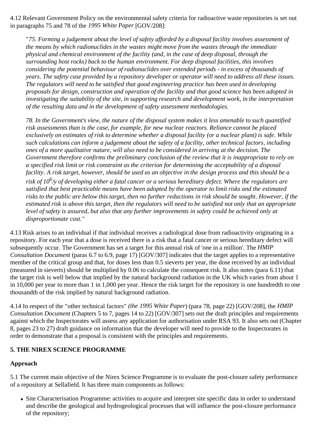4.12 Relevant Government Policy on the environmental safety criteria for radioactive waste repositories is set out in paragraphs 75 and 78 of the *1995 White Paper* [GOV/208]:

"*75. Forming a judgement about the level of safety afforded by a disposal facility involves assessment of the means by which radionuclides in the wastes might move from the wastes through the immediate physical and chemical environment of the facility (and, in the case of deep disposal, through the surrounding host rocks) back to the human environment. For deep disposal facilities, this involves considering the potential behaviour of radionuclides over extended periods - in excess of thousands of years. The safety case provided by a repository developer or operator will need to address all these issues. The regulators will need to be satisfied that good engineering practice has been used in developing proposals for design, construction and operation of the facility and that good science has been adopted in investigating the suitability of the site, in supporting research and development work, in the interpretation of the resulting data and in the development of safety assessment methodologies.*

*78. In the Government's view, the nature of the disposal system makes it less amenable to such quantified risk assessments than is the case, for example, for new nuclear reactors. Reliance cannot be placed exclusively on estimates of risk to determine whether a disposal facility (or a nuclear plant) is safe. While such calculations can inform a judgement about the safety of a facility, other technical factors, including ones of a more qualitative nature, will also need to be considered in arriving at the decision. The Government therefore confirms the preliminary conclusion of the review that it is inappropriate to rely on a specified risk limit or risk constraint as the criterion for determining the acceptability of a disposal facility. A risk target, however, should be used as an objective in the design process and this should be a risk of 106/y of developing either a fatal cancer or a serious hereditary defect. Where the regulators are satisfied that best practicable means have been adopted by the operator to limit risks and the estimated risks to the public are below this target, then no further reductions in risk should be sought. However, if the estimated risk is above this target, then the regulators will need to be satisfied not only that an appropriate level of safety is assured, but also that any further improvements in safety could be achieved only at disproportionate cost."*

4.13 Risk arises to an individual if that individual receives a radiological dose from radioactivity originating in a repository. For each year that a dose is received there is a risk that a fatal cancer or serious hereditary defect will subsequently occur. The Government has set a target for this annual risk of 'one in a million'. The *HMIP Consultation Document* (paras 6.7 to 6.9, page 17) [GOV/307] indicates that the target applies to a representative member of the critical group and that, for doses less than 0.5 sieverts per year, the dose received by an individual (measured in sieverts) should be multiplied by 0.06 to calculate the consequent risk. It also notes (para 6.11) that the target risk is well below that implied by the natural background radiation in the UK which varies from about 1 in 10,000 per year to more than 1 in 1,000 per year. Hence the risk target for the repository is one hundredth to one thousandth of the risk implied by natural background radiation.

4.14 In respect of the "other technical factors" *(the 1995 White Paper*) (para 78, page 22) [GOV/208], the *HMIP Consultation Document* (Chapters 5 to 7, pages 14 to 22) [GOV/307] sets out the draft principles and requirements against which the Inspectorates will assess any application for authorisation under RSA 93. It also sets out (Chapter 8, pages 23 to 27) draft guidance on information that the developer will need to provide to the Inspectorates in order to demonstrate that a proposal is consistent with the principles and requirements.

## **5. THE NIREX SCIENCE PROGRAMME**

## **Approach**

5.1 The current main objective of the Nirex Science Programme is to evaluate the post-closure safety performance of a repository at Sellafield. It has three main components as follows:

Site Characterisation Programme: activities to acquire and interpret site specific data in order to understand and describe the geological and hydrogeological processes that will influence the post-closure performance of the repository;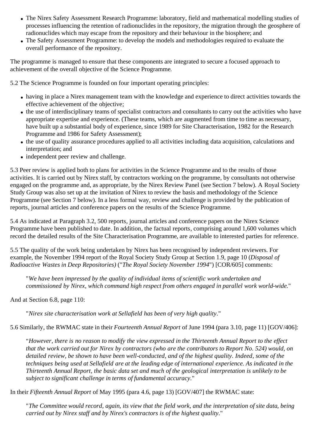- The Nirex Safety Assessment Research Programme: laboratory, field and mathematical modelling studies of processes influencing the retention of radionuclides in the repository, the migration through the geosphere of radionuclides which may escape from the repository and their behaviour in the biosphere; and
- The Safety Assessment Programme: to develop the models and methodologies required to evaluate the overall performance of the repository.

The programme is managed to ensure that these components are integrated to secure a focused approach to achievement of the overall objective of the Science Programme.

5.2 The Science Programme is founded on four important operating principles:

- having in place a Nirex management team with the knowledge and experience to direct activities towards the effective achievement of the objective;
- the use of interdisciplinary teams of specialist contractors and consultants to carry out the activities who have appropriate expertise and experience. (These teams, which are augmented from time to time as necessary, have built up a substantial body of experience, since 1989 for Site Characterisation, 1982 for the Research Programme and 1986 for Safety Assessment);
- the use of quality assurance procedures applied to all activities including data acquisition, calculations and interpretation; and
- independent peer review and challenge.

5.3 Peer review is applied both to plans for activities in the Science Programme and to the results of those activities. It is carried out by Nirex staff, by contractors working on the programme, by consultants not otherwise engaged on the programme and, as appropriate, by the Nirex Review Panel (see Section 7 below). A Royal Society Study Group was also set up at the invitation of Nirex to review the basis and methodology of the Science Programme (see Section 7 below). In a less formal way, review and challenge is provided by the publication of reports, journal articles and conference papers on the results of the Science Programme.

5.4 As indicated at Paragraph 3.2, 500 reports, journal articles and conference papers on the Nirex Science Programme have been published to date. In addition, the factual reports, comprising around 1,600 volumes which record the detailed results of the Site Characterisation Programme, are available to interested parties for reference.

5.5 The quality of the work being undertaken by Nirex has been recognised by independent reviewers. For example, the November 1994 report of the Royal Society Study Group at Section 1.9, page 10 (*Disposal of Radioactive Wastes in Deep Repositories)* ("*The Royal Society November 1994*") [COR/605] comments:

"*We have been impressed by the quality of individual items of scientific work undertaken and commissioned by Nirex, which command high respect from others engaged in parallel work world-wide.*"

And at Section 6.8, page 110:

"*Nirex site characterisation work at Sellafield has been of very high quality.*"

5.6 Similarly, the RWMAC state in their *Fourteenth Annual Report* of June 1994 (para 3.10, page 11) [GOV/406]:

"*However, there is no reason to modify the view expressed in the Thirteenth Annual Report to the effect that the work carried out for Nirex by contractors (who are the contributors to Report No. 524) would, on detailed review, be shown to have been well-conducted, and of the highest quality. Indeed, some of the techniques being used at Sellafield are at the leading edge of international experience. As indicated in the Thirteenth Annual Report, the basic data set and much of the geological interpretation is unlikely to be subject to significant challenge in terms of fundamental accuracy.*"

In their *Fifteenth Annual Report* of May 1995 (para 4.6, page 13) [GOV/407] the RWMAC state:

"*The Committee would record, again, its view that the field work, and the interpretation of site data, being carried out by Nirex staff and by Nirex's contractors is of the highest quality.*"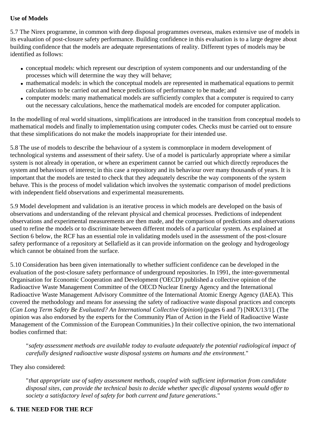### **Use of Models**

5.7 The Nirex programme, in common with deep disposal programmes overseas, makes extensive use of models in its evaluation of post-closure safety performance. Building confidence in this evaluation is to a large degree about building confidence that the models are adequate representations of reality. Different types of models may be identified as follows:

- conceptual models: which represent our description of system components and our understanding of the processes which will determine the way they will behave;
- mathematical models: in which the conceptual models are represented in mathematical equations to permit calculations to be carried out and hence predictions of performance to be made; and
- computer models: many mathematical models are sufficiently complex that a computer is required to carry out the necessary calculations, hence the mathematical models are encoded for computer application.

In the modelling of real world situations, simplifications are introduced in the transition from conceptual models to mathematical models and finally to implementation using computer codes. Checks must be carried out to ensure that these simplifications do not make the models inappropriate for their intended use.

5.8 The use of models to describe the behaviour of a system is commonplace in modern development of technological systems and assessment of their safety. Use of a model is particularly appropriate where a similar system is not already in operation, or where an experiment cannot be carried out which directly reproduces the system and behaviours of interest; in this case a repository and its behaviour over many thousands of years. It is important that the models are tested to check that they adequately describe the way components of the system behave. This is the process of model validation which involves the systematic comparison of model predictions with independent field observations and experimental measurements.

5.9 Model development and validation is an iterative process in which models are developed on the basis of observations and understanding of the relevant physical and chemical processes. Predictions of independent observations and experimental measurements are then made, and the comparison of predictions and observations used to refine the models or to discriminate between different models of a particular system. As explained at Section 6 below, the RCF has an essential role in validating models used in the assessment of the post-closure safety performance of a repository at Sellafield as it can provide information on the geology and hydrogeology which cannot be obtained from the surface.

5.10 Consideration has been given internationally to whether sufficient confidence can be developed in the evaluation of the post-closure safety performance of underground repositories. In 1991, the inter-governmental Organisation for Economic Cooperation and Development ('OECD') published a collective opinion of the Radioactive Waste Management Committee of the OECD Nuclear Energy Agency and the International Radioactive Waste Management Advisory Committee of the International Atomic Energy Agency (IAEA). This covered the methodology and means for assessing the safety of radioactive waste disposal practices and concepts (*Can Long Term Safety Be Evaluated? An International Collective Opinion*) (pages 6 and 7) [NRX/13/1]. (The opinion was also endorsed by the experts for the Community Plan of Action in the Field of Radioactive Waste Management of the Commission of the European Communities.) In their collective opinion, the two international bodies confirmed that:

"*safety assessment methods are available today to evaluate adequately the potential radiological impact of carefully designed radioactive waste disposal systems on humans and the environment.*"

They also considered:

"*that appropriate use of safety assessment methods, coupled with sufficient information from candidate disposal sites, can provide the technical basis to decide whether specific disposal systems would offer to society a satisfactory level of safety for both current and future generations.*"

## **6. THE NEED FOR THE RCF**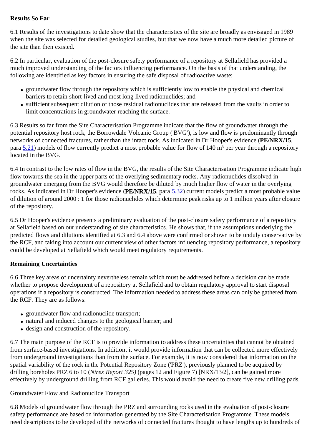## **Results So Far**

6.1 Results of the investigations to date show that the characteristics of the site are broadly as envisaged in 1989 when the site was selected for detailed geological studies, but that we now have a much more detailed picture of the site than then existed.

6.2 In particular, evaluation of the post-closure safety performance of a repository at Sellafield has provided a much improved understanding of the factors influencing performance. On the basis of that understanding, the following are identified as key factors in ensuring the safe disposal of radioactive waste:

- groundwater flow through the repository which is sufficiently low to enable the physical and chemical barriers to retain short-lived and most long-lived radionuclides; and
- sufficient subsequent dilution of those residual radionuclides that are released from the vaults in order to limit concentrations in groundwater reaching the surface.

6.3 Results so far from the Site Characterisation Programme indicate that the flow of groundwater through the potential repository host rock, the Borrowdale Volcanic Group ('BVG'), is low and flow is predominantly through networks of connected fractures, rather than the intact rock. As indicated in Dr Hooper's evidence (**PE/NRX/15**, para  $5.21$ ) models of flow currently predict a most probable value for flow of 140 m<sup>3</sup> per year through a repository located in the BVG.

6.4 In contrast to the low rates of flow in the BVG, the results of the Site Characterisation Programme indicate high flow towards the sea in the upper parts of the overlying sedimentary rocks. Any radionuclides dissolved in groundwater emerging from the BVG would therefore be diluted by much higher flow of water in the overlying rocks. As indicated in Dr Hooper's evidence (**PE/NRX/15**, para 5.32) current models predict a most probable value of dilution of around 2000 : 1 for those radionuclides which determine peak risks up to 1 million years after closure of the repository.

6.5 Dr Hooper's evidence presents a preliminary evaluation of the post-closure safety performance of a repository at Sellafield based on our understanding of site characteristics. He shows that, if the assumptions underlying the predicted flows and dilutions identified at 6.3 and 6.4 above were confirmed or shown to be unduly conservative by the RCF, and taking into account our current view of other factors influencing repository performance, a repository could be developed at Sellafield which would meet regulatory requirements.

## **Remaining Uncertainties**

6.6 Three key areas of uncertainty nevertheless remain which must be addressed before a decision can be made whether to propose development of a repository at Sellafield and to obtain regulatory approval to start disposal operations if a repository is constructed. The information needed to address these areas can only be gathered from the RCF. They are as follows:

- groundwater flow and radionuclide transport;
- natural and induced changes to the geological barrier; and
- design and construction of the repository.

6.7 The main purpose of the RCF is to provide information to address these uncertainties that cannot be obtained from surface-based investigations. In addition, it would provide information that can be collected more effectively from underground investigations than from the surface. For example, it is now considered that information on the spatial variability of the rock in the Potential Repository Zone ('PRZ'), previously planned to be acquired by drilling boreholes PRZ 6 to 10 (*Nirex Report 325)* (pages 12 and Figure 7) [NRX/13/2], can be gained more effectively by underground drilling from RCF galleries. This would avoid the need to create five new drilling pads.

#### Groundwater Flow and Radionuclide Transport

6.8 Models of groundwater flow through the PRZ and surrounding rocks used in the evaluation of post-closure safety performance are based on information generated by the Site Characterisation Programme. These models need descriptions to be developed of the networks of connected fractures thought to have lengths up to hundreds of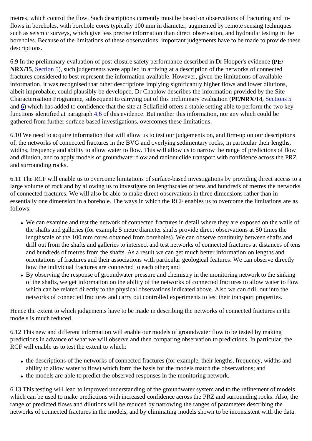metres, which control the flow. Such descriptions currently must be based on observations of fracturing and inflows in boreholes, with borehole cores typically 100 mm in diameter, augmented by remote sensing techniques such as seismic surveys, which give less precise information than direct observation, and hydraulic testing in the boreholes. Because of the limitations of these observations, important judgements have to be made to provide these descriptions.

6.9 In the preliminary evaluation of post-closure safety performance described in Dr Hooper's evidence (**PE/ NRX/15**, Section 5), such judgements were applied in arriving at a description of the networks of connected fractures considered to best represent the information available. However, given the limitations of available information, it was recognised that other descriptions implying significantly higher flows and lower dilutions, albeit improbable, could plausibly be developed. Dr Chaplow describes the information provided by the Site Characterisation Programme, subsequent to carrying out of this preliminary evaluation (**PE/NRX/14**, Sections 5 and 6) which has added to confidence that the site at Sellafield offers a stable setting able to perform the two key functions identified at paragraph 4.6 of this evidence. But neither this information, nor any which could be gathered from further surface-based investigations, overcomes these limitations.

6.10 We need to acquire information that will allow us to test our judgements on, and firm-up on our descriptions of, the networks of connected fractures in the BVG and overlying sedimentary rocks, in particular their lengths, widths, frequency and ability to allow water to flow. This will allow us to narrow the range of predictions of flow and dilution, and to apply models of groundwater flow and radionuclide transport with confidence across the PRZ and surrounding rocks.

6.11 The RCF will enable us to overcome limitations of surface-based investigations by providing direct access to a large volume of rock and by allowing us to investigate on lengthscales of tens and hundreds of metres the networks of connected fractures. We will also be able to make direct observations in three dimensions rather than in essentially one dimension in a borehole. The ways in which the RCF enables us to overcome the limitations are as follows:

- We can examine and test the network of connected fractures in detail where they are exposed on the walls of the shafts and galleries (for example 5 metre diameter shafts provide direct observations at 50 times the lengthscale of the 100 mm cores obtained from boreholes). We can observe continuity between shafts and drill out from the shafts and galleries to intersect and test networks of connected fractures at distances of tens and hundreds of metres from the shafts. As a result we can get much better information on lengths and orientations of fractures and their associations with particular geological features. We can observe directly how the individual fractures are connected to each other; and
- By observing the response of groundwater pressure and chemistry in the monitoring network to the sinking of the shafts, we get information on the ability of the networks of connected fractures to allow water to flow which can be related directly to the physical observations indicated above. Also we can drill out into the networks of connected fractures and carry out controlled experiments to test their transport properties.

Hence the extent to which judgements have to be made in describing the networks of connected fractures in the models is much reduced.

6.12 This new and different information will enable our models of groundwater flow to be tested by making predictions in advance of what we will observe and then comparing observation to predictions. In particular, the RCF will enable us to test the extent to which:

- the descriptions of the networks of connected fractures (for example, their lengths, frequency, widths and ability to allow water to flow) which form the basis for the models match the observations; and
- the models are able to predict the observed responses in the monitoring network.

6.13 This testing will lead to improved understanding of the groundwater system and to the refinement of models which can be used to make predictions with increased confidence across the PRZ and surrounding rocks. Also, the range of predicted flows and dilutions will be reduced by narrowing the ranges of parameters describing the networks of connected fractures in the models, and by eliminating models shown to be inconsistent with the data.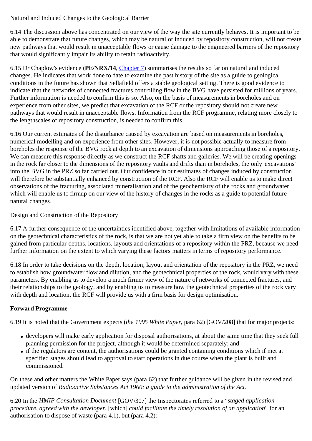Natural and Induced Changes to the Geological Barrier

6.14 The discussion above has concentrated on our view of the way the site currently behaves. It is important to be able to demonstrate that future changes, which may be natural or induced by repository construction, will not create new pathways that would result in unacceptable flows or cause damage to the engineered barriers of the repository that would significantly impair its ability to retain radioactivity.

6.15 Dr Chaplow's evidence (**PE/NRX/14**, Chapter 7) summarises the results so far on natural and induced changes. He indicates that work done to date to examine the past history of the site as a guide to geological conditions in the future has shown that Sellafield offers a stable geological setting. There is good evidence to indicate that the networks of connected fractures controlling flow in the BVG have persisted for millions of years. Further information is needed to confirm this is so. Also, on the basis of measurements in boreholes and on experience from other sites, we predict that excavation of the RCF or the repository should not create new pathways that would result in unacceptable flows. Information from the RCF programme, relating more closely to the lengthscales of repository construction, is needed to confirm this.

6.16 Our current estimates of the disturbance caused by excavation are based on measurements in boreholes, numerical modelling and on experience from other sites. However, it is not possible actually to measure from boreholes the response of the BVG rock at depth to an excavation of dimensions approaching those of a repository. We can measure this response directly as we construct the RCF shafts and galleries. We will be creating openings in the rock far closer to the dimensions of the repository vaults and drifts than in boreholes, the only 'excavations' into the BVG in the PRZ so far carried out. Our confidence in our estimates of changes induced by construction will therefore be substantially enhanced by construction of the RCF. Also the RCF will enable us to make direct observations of the fracturing, associated mineralisation and of the geochemistry of the rocks and groundwater which will enable us to firmup on our view of the history of changes in the rocks as a guide to potential future natural changes.

Design and Construction of the Repository

6.17 A further consequence of the uncertainties identified above, together with limitations of available information on the geotechnical characteristics of the rock, is that we are not yet able to take a firm view on the benefits to be gained from particular depths, locations, layouts and orientations of a repository within the PRZ, because we need further information on the extent to which varying these factors matters in terms of repository performance.

6.18 In order to take decisions on the depth, location, layout and orientation of the repository in the PRZ, we need to establish how groundwater flow and dilution, and the geotechnical properties of the rock, would vary with these parameters. By enabling us to develop a much firmer view of the nature of networks of connected fractures, and their relationships to the geology, and by enabling us to measure how the geotechnical properties of the rock vary with depth and location, the RCF will provide us with a firm basis for design optimisation.

## **Forward Programme**

6.19 It is noted that the Government expects (*the 1995 White Paper*, para 62) [GOV/208] that for major projects:

- developers will make early application for disposal authorisations, at about the same time that they seek full planning permission for the project, although it would be determined separately; and
- if the regulators are content, the authorisations could be granted containing conditions which if met at specified stages should lead to approval to start operations in due course when the plant is built and commissioned.

On these and other matters the White Paper says (para 62) that further guidance will be given in the revised and updated version of *Radioactive Substances Act 1960: a guide to the administration of the Act.*

6.20 In the *HMIP Consultation Document* [GOV/307] the Inspectorates referred to a "*staged application procedure, agreed with the developer,* [which] *could facilitate the timely resolution of an application*" for an authorisation to dispose of waste (para 4.1), but (para 4.2):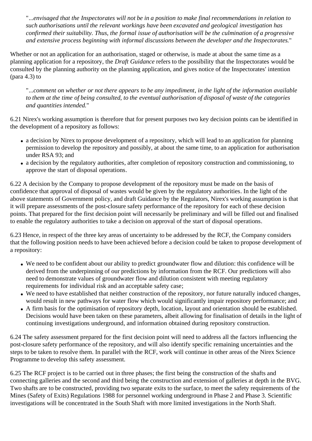"...*envisaged that the Inspectorates will not be in a position to make final recommendations in relation to such authorisations until the relevant workings have been excavated and geological investigation has confirmed their suitability. Thus, the formal issue of authorisation will be the culmination of a progressive and extensive process beginning with informal discussions between the developer and the Inspectorates.*"

Whether or not an application for an authorisation, staged or otherwise, is made at about the same time as a planning application for a repository, the *Draft Guidance* refers to the possibility that the Inspectorates would be consulted by the planning authority on the planning application, and gives notice of the Inspectorates' intention (para 4.3) to

"...*comment on whether or not there appears to be any impediment, in the light of the information available to them at the time of being consulted, to the eventual authorisation of disposal of waste of the categories and quantities intended.*"

6.21 Nirex's working assumption is therefore that for present purposes two key decision points can be identified in the development of a repository as follows:

- a decision by Nirex to propose development of a repository, which will lead to an application for planning permission to develop the repository and possibly, at about the same time, to an application for authorisation under RSA 93; and
- a decision by the regulatory authorities, after completion of repository construction and commissioning, to approve the start of disposal operations.

6.22 A decision by the Company to propose development of the repository must be made on the basis of confidence that approval of disposal of wastes would be given by the regulatory authorities. In the light of the above statements of Government policy, and draft Guidance by the Regulators, Nirex's working assumption is that it will prepare assessments of the post-closure safety performance of the repository for each of these decision points. That prepared for the first decision point will necessarily be preliminary and will be filled out and finalised to enable the regulatory authorities to take a decision on approval of the start of disposal operations.

6.23 Hence, in respect of the three key areas of uncertainty to be addressed by the RCF, the Company considers that the following position needs to have been achieved before a decision could be taken to propose development of a repository:

- We need to be confident about our ability to predict groundwater flow and dilution: this confidence will be derived from the underpinning of our predictions by information from the RCF. Our predictions will also need to demonstrate values of groundwater flow and dilution consistent with meeting regulatory requirements for individual risk and an acceptable safety case;
- We need to have established that neither construction of the repository, nor future naturally induced changes, would result in new pathways for water flow which would significantly impair repository performance; and
- A firm basis for the optimisation of repository depth, location, layout and orientation should be established. Decisions would have been taken on these parameters, albeit allowing for finalisation of details in the light of continuing investigations underground, and information obtained during repository construction.

6.24 The safety assessment prepared for the first decision point will need to address all the factors influencing the post-closure safety performance of the repository, and will also identify specific remaining uncertainties and the steps to be taken to resolve them. In parallel with the RCF, work will continue in other areas of the Nirex Science Programme to develop this safety assessment.

6.25 The RCF project is to be carried out in three phases; the first being the construction of the shafts and connecting galleries and the second and third being the construction and extension of galleries at depth in the BVG. Two shafts are to be constructed, providing two separate exits to the surface, to meet the safety requirements of the Mines (Safety of Exits) Regulations 1988 for personnel working underground in Phase 2 and Phase 3. Scientific investigations will be concentrated in the South Shaft with more limited investigations in the North Shaft.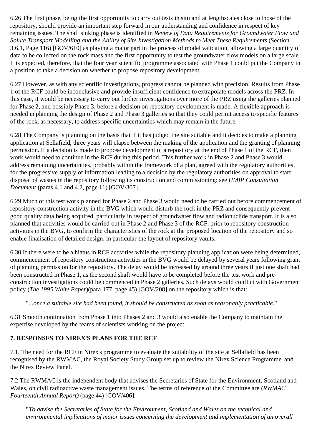6.26 The first phase, being the first opportunity to carry out tests in situ and at lengthscales close to those of the repository, should provide an important step forward in our understanding and confidence in respect of key remaining issues. The shaft sinking phase is identified in *Review of Data Requirements for Groundwater Flow and Solute Transport Modelling and the Ability of Site Investigation Methods to Meet These Requirements* (Section 3.6.1, Page 116) [GOV/610] as playing a major part in the process of model validation, allowing a large quantity of data to be collected on the rock mass and the first opportunity to test the groundwater flow models on a large scale. It is expected, therefore, that the four year scientific programme associated with Phase 1 could put the Company in a position to take a decision on whether to propose repository development.

6.27 However, as with any scientific investigations, progress cannot be planned with precision. Results from Phase 1 of the RCF could be inconclusive and provide insufficient confidence to extrapolate models across the PRZ. In this case, it would be necessary to carry out further investigations over more of the PRZ using the galleries planned for Phase 2, and possibly Phase 3, before a decision on repository development is made. A flexible approach is needed in planning the design of Phase 2 and Phase 3 galleries so that they could permit access to specific features of the rock, as necessary, to address specific uncertainties which may remain in the future.

6.28 The Company is planning on the basis that if it has judged the site suitable and it decides to make a planning application at Sellafield, three years will elapse between the making of the application and the granting of planning permission. If a decision is made to propose development of a repository at the end of Phase 1 of the RCF, then work would need to continue in the RCF during this period. This further work in Phase 2 and Phase 3 would address remaining uncertainties, probably within the framework of a plan, agreed with the regulatory authorities, for the progressive supply of information leading to a decision by the regulatory authorities on approval to start disposal of wastes in the repository following its construction and commissioning: see *HMIP Consultation Document* (paras 4.1 and 4.2, page 11) [GOV/307].

6.29 Much of this test work planned for Phase 2 and Phase 3 would need to be carried out before commencement of repository construction activity in the BVG which would disturb the rock in the PRZ and consequently prevent good quality data being acquired, particularly in respect of groundwater flow and radionuclide transport. It is also planned that activities would be carried out in Phase 2 and Phase 3 of the RCF, prior to repository construction activities in the BVG, to confirm the characteristics of the rock at the proposed location of the repository and so enable finalisation of detailed design, in particular the layout of repository vaults.

6.30 If there were to be a hiatus in RCF activities while the repository planning application were being determined, commencement of repository construction activities in the BVG would be delayed by several years following grant of planning permission for the repository. The delay would be increased by around three years if just one shaft had been constructed in Phase 1, as the second shaft would have to be completed before the test work and preconstruction investigations could be commenced in Phase 2 galleries. Such delays would conflict with Government policy (*The 1995 White Paper*)(para 177, page 45) [GOV/208] on the repository which is that:

## "*...once a suitable site had been found, it should be constructed as soon as reasonably practicable.*"

6.31 Smooth continuation from Phase 1 into Phases 2 and 3 would also enable the Company to maintain the expertise developed by the teams of scientists working on the project.

## **7. RESPONSES TO NIREX'S PLANS FOR THE RCF**

7.1. The need for the RCF in Nirex's programme to evaluate the suitability of the site at Sellafield has been recognised by the RWMAC, the Royal Society Study Group set up to review the Nirex Science Programme, and the Nirex Review Panel.

7.2 The RWMAC is the independent body that advises the Secretaries of State for the Environment, Scotland and Wales, on civil radioactive waste management issues. The terms of reference of the Committee are (*RWMAC Fourteenth Annual Report)* (page 44) [GOV/406]:

"*To advise the Secretaries of State for the Environment, Scotland and Wales on the technical and environmental implications of major issues concerning the development and implementation of an overall*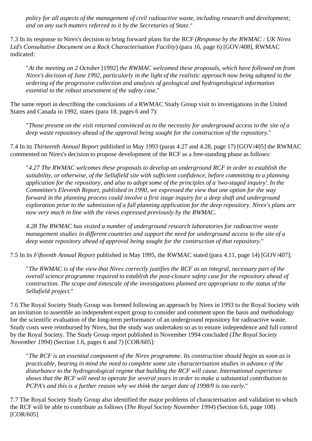*policy for all aspects of the management of civil radioactive waste, including research and development; and on any such matters referred to it by the Secretaries of State.*"

7.3 In its response to Nirex's decision to bring forward plans for the RCF (*Response by the RWMAC : UK Nirex Ltd's Consultative Document on a Rock Characterisation Facility*) (para 16, page 6) [GOV/408], RWMAC indicated:

"*At the meeting on 2 October* [1992] *the RWMAC welcomed these proposals, which have followed on from Nirex's decision of June 1992, particularly in the light of the realistic approach now being adopted to the ordering of the progressive collection and analysis of geological and hydrogeological information essential to the robust assessment of the safety case.*"

The same report in describing the conclusions of a RWMAC Study Group visit to investigations in the United States and Canada in 1992, states (para 18, pages 6 and 7):

"*Those present on the visit returned convinced as to the necessity for underground access to the site of a deep waste repository ahead of the approval being sought for the construction of the repository.*"

7.4 In its *Thirteenth Annual Report* published in May 1993 (paras 4.27 and 4.28, page 17) [GOV/405] the RWMAC commented on Nirex's decision to propose development of the RCF as a free-standing phase as follows:

"*4.27 The RWMAC welcomes these proposals to develop an underground RCF in order to establish the suitability, or otherwise, of the Sellafield site with sufficient confidence, before committing to a planning application for the repository, and also to adopt some of the principles of a 'two-staged inquiry'. In the Committee's Eleventh Report, published in 1990, we expressed the view that one option for the way forward in the planning process could involve a first stage inquiry for a deep shaft and underground exploration prior to the submission of a full planning application for the deep repository. Nirex's plans are now very much in line with the views expressed previously by the RWMAC.*

*4.28 The RWMAC has visited a number of underground research laboratories for radioactive waste management studies in different countries and support the need for underground access to the site of a deep waste repository ahead of approval being sought for the construction of that repository.*"

7.5 In its *Fifteenth Annual Report* published in May 1995, the RWMAC stated (para 4.11, page 14) [GOV/407]:

"*The RWMAC is of the view that Nirex correctly justifies the RCF as an integral, necessary part of the overall science programme required to establish the post-closure safety case for the repository ahead of construction. The scope and timescale of the investigations planned are appropriate to the status of the Sellafield project.*"

7.6 The Royal Society Study Group was formed following an approach by Nirex in 1993 to the Royal Society with an invitation to assemble an independent expert group to consider and comment upon the basis and methodology for the scientific evaluation of the long-term performance of an underground repository for radioactive waste. Study costs were reimbursed by Nirex, but the study was undertaken so as to ensure independence and full control by the Royal Society. The Study Group report published in November 1994 concluded (*The Royal Society November 1994*) (Section 1.6, pages 6 and 7) [COR/605]:

"*The RCF is an essential component of the Nirex programme. Its construction should begin as soon as is practicable, bearing in mind the need to complete some site characterisation studies in advance of the disturbance to the hydrogeological regime that building the RCF will cause. International experience shows that the RCF will need to operate for several years in order to make a substantial contribution to PCPA's and this is a further reason why we think the target date of 1998/9 is too early.*"

7.7 The Royal Society Study Group also identified the major problems of characterisation and validation to which the RCF will be able to contribute as follows (*The Royal Society November 1994*) (Section 6.6, page 108) [COR/605]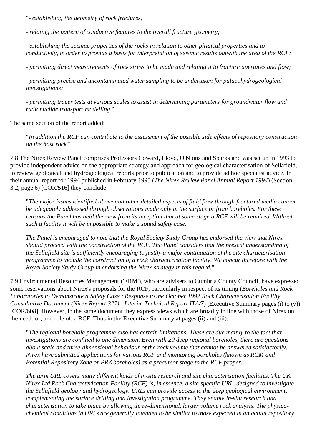"*- establishing the geometry of rock fractures;*

*- relating the pattern of conductive features to the overall fracture geometry;*

*- establishing the seismic properties of the rocks in relation to other physical properties and to conductivity, in order to provide a basis for interpretation of seismic results outwith the area of the RCF;*

*- permitting direct measurements of rock stress to be made and relating it to fracture apertures and flow;*

*- permitting precise and uncontaminated water sampling to be undertaken for palaeohydrogeological investigations;*

*- permitting tracer tests at various scales to assist in determining parameters for groundwater flow and radionuclide transport modelling.*"

The same section of the report added:

"*In addition the RCF can contribute to the assessment of the possible side effects of repository construction on the host rock.*"

7.8 The Nirex Review Panel comprises Professors Coward, Lloyd, O'Nions and Sparks and was set up in 1993 to provide independent advice on the appropriate strategy and approach for geological characterisation of Sellafield, to review geological and hydrogeological reports prior to publication and to provide ad hoc specialist advice. In their annual report for 1994 published in February 1995 (*The Nirex Review Panel Annual Report 1994*) (Section 3.2, page 6) [COR/516] they conclude:

"*The major issues identified above and other detailed aspects of fluid flow through fractured media cannot be adequately addressed through observations made only at the surface or from boreholes. For these reasons the Panel has held the view from its inception that at some stage a RCF will be required. Without such a facility it will be impossible to make a sound safety case.*

*The Panel is encouraged to note that the Royal Society Study Group has endorsed the view that Nirex should proceed with the construction of the RCF. The Panel considers that the present understanding of the Sellafield site is sufficiently encouraging to justify a major continuation of the site characterisation programme to include the construction of a rock characterisation facility. We concur therefore with the Royal Society Study Group in endorsing the Nirex strategy in this regard.*"

7.9 Environmental Resources Management ('ERM'), who are advisers to Cumbria County Council, have expressed some reservations about Nirex's proposals for the RCF, particularly in respect of its timing (*Boreholes and Rock Laboratories to Demonstrate a Safety Case : Response to the October 1992 Rock Characterisation Facility Consultative Document (Nirex Report 327) - Interim Technical Report ITA/7*) (Executive Summary pages (i) to (v)) [COR/608]. However, in the same document they express views which are broadly in line with those of Nirex on the need for, and role of, a RCF. Thus in the Executive Summary at pages (ii) and (iii):

"*The regional borehole programme also has certain limitations. These are due mainly to the fact that investigations are confined to one dimension. Even with 20 deep regional boreholes, there are questions about scale and three-dimensional behaviour of the rock volume that cannot be answered satisfactorily. Nirex have submitted applications for various RCF and monitoring boreholes (known as RCM and Potential Repository Zone or PRZ boreholes) as a precursor stage to the RCF proper.*

*The term URL covers many different kinds of in-situ research and site characterisation facilities. The UK Nirex Ltd Rock Characterisation Facility (RCF) is, in essence, a site-specific URL, designed to investigate the Sellafield geology and hydrogeology. URLs can provide access to the deep geological environment, complementing the surface drilling and investigation programme. They enable in-situ research and characterisation to take place by allowing three-dimensional, larger volume rock analysis. The physicochemical conditions in URLs are generally intended to be similar to those expected in an actual repository.*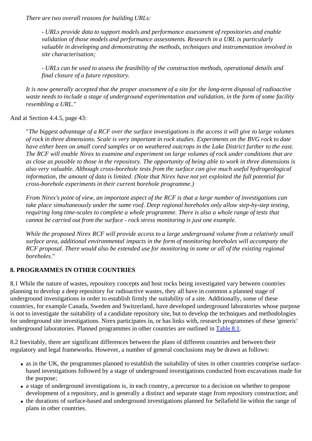*There are two overall reasons for building URLs:*

*- URLs provide data to support models and performance assessment of repositories and enable validation of those models and performance assessments. Research in a URL is particularly valuable in developing and demonstrating the methods, techniques and instrumentation involved in site characterisation;*

*- URLs can be used to assess the feasibility of the construction methods, operational details and final closure of a future repository.*

*It is now generally accepted that the proper assessment of a site for the long-term disposal of radioactive waste needs to include a stage of underground experimentation and validation, in the form of some facility resembling a URL.*"

#### And at Section 4.4.5, page 43:

"*The biggest advantage of a RCF over the surface investigations is the access it will give to large volumes of rock in three dimensions. Scale is very important in rock studies. Experiments on the BVG rock to date have either been on small cored samples or on weathered outcrops in the Lake District further to the east. The RCF will enable Nirex to examine and experiment on large volumes of rock under conditions that are as close as possible to those in the repository. The opportunity of being able to work in three dimensions is also very valuable. Although cross-borehole tests from the surface can give much useful hydrogeological information, the amount of data is limited. (Note that Nirex have not yet exploited the full potential for cross-borehole experiments in their current borehole programme.)*

*From Nirex's point of view, an important aspect of the RCF is that a large number of investigations can take place simultaneously under the same roof. Deep regional boreholes only allow step-by-step testing, requiring long time-scales to complete a whole programme. There is also a whole range of tests that cannot be carried out from the surface - rock stress monitoring is just one example.*

*While the proposed Nirex RCF will provide access to a large underground volume from a relatively small surface area, additional environmental impacts in the form of monitoring boreholes will accompany the RCF proposal. There would also be extended use for monitoring in some or all of the existing regional boreholes.*"

## **8. PROGRAMMES IN OTHER COUNTRIES**

8.1 While the nature of wastes, repository concepts and host rocks being investigated vary between countries planning to develop a deep repository for radioactive wastes, they all have in common a planned stage of underground investigations in order to establish firmly the suitability of a site. Additionally, some of these countries, for example Canada, Sweden and Switzerland, have developed underground laboratories whose purpose is not to investigate the suitability of a candidate repository site, but to develop the techniques and methodologies for underground site investigations. Nirex participates in, or has links with, research programmes of these 'generic' underground laboratories. Planned programmes in other countries are outlined in Table 8.1.

8.2 Inevitably, there are significant differences between the plans of different countries and between their regulatory and legal frameworks. However, a number of general conclusions may be drawn as follows:

- as in the UK, the programmes planned to establish the suitability of sites in other countries comprise surfacebased investigations followed by a stage of underground investigations conducted from excavations made for the purpose;
- a stage of underground investigations is, in each country, a precursor to a decision on whether to propose development of a repository, and is generally a distinct and separate stage from repository construction; and
- the durations of surface-based and underground investigations planned for Sellafield lie within the range of plans in other countries.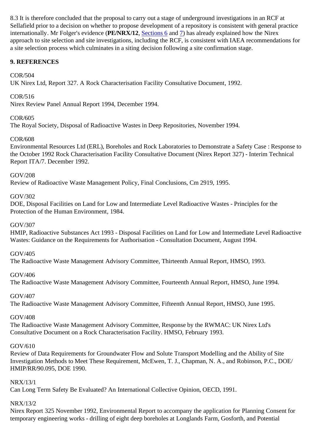8.3 It is therefore concluded that the proposal to carry out a stage of underground investigations in an RCF at Sellafield prior to a decision on whether to propose development of a repository is consistent with general practice internationally. Mr Folger's evidence (**PE/NRX/12**, Sections 6 and 7) has already explained how the Nirex approach to site selection and site investigations, including the RCF, is consistent with IAEA recommendations for a site selection process which culminates in a siting decision following a site confirmation stage.

## **9. REFERENCES**

### COR/504

UK Nirex Ltd, Report 327. A Rock Characterisation Facility Consultative Document, 1992.

### COR/516

Nirex Review Panel Annual Report 1994, December 1994.

### COR/605

The Royal Society, Disposal of Radioactive Wastes in Deep Repositories, November 1994.

### COR/608

Environmental Resources Ltd (ERL), Boreholes and Rock Laboratories to Demonstrate a Safety Case : Response to the October 1992 Rock Characterisation Facility Consultative Document (Nirex Report 327) - Interim Technical Report ITA/7. December 1992.

#### GOV/208

Review of Radioactive Waste Management Policy, Final Conclusions, Cm 2919, 1995.

### GOV/302

DOE, Disposal Facilities on Land for Low and Intermediate Level Radioactive Wastes - Principles for the Protection of the Human Environment, 1984.

#### GOV/307

HMIP, Radioactive Substances Act 1993 - Disposal Facilities on Land for Low and Intermediate Level Radioactive Wastes: Guidance on the Requirements for Authorisation - Consultation Document, August 1994.

#### GOV/405

The Radioactive Waste Management Advisory Committee, Thirteenth Annual Report, HMSO, 1993.

#### GOV/406

The Radioactive Waste Management Advisory Committee, Fourteenth Annual Report, HMSO, June 1994.

#### GOV/407

The Radioactive Waste Management Advisory Committee, Fifteenth Annual Report, HMSO, June 1995.

#### GOV/408

The Radioactive Waste Management Advisory Committee, Response by the RWMAC: UK Nirex Ltd's Consultative Document on a Rock Characterisation Facility. HMSO, February 1993.

#### GOV/610

Review of Data Requirements for Groundwater Flow and Solute Transport Modelling and the Ability of Site Investigation Methods to Meet These Requirement, McEwen, T. J., Chapman, N. A., and Robinson, P.C., DOE/ HMIP/RR/90.095, DOE 1990.

#### NRX/13/1

Can Long Term Safety Be Evaluated? An International Collective Opinion, OECD, 1991.

## NRX/13/2

Nirex Report 325 November 1992, Environmental Report to accompany the application for Planning Consent for temporary engineering works - drilling of eight deep boreholes at Longlands Farm, Gosforth, and Potential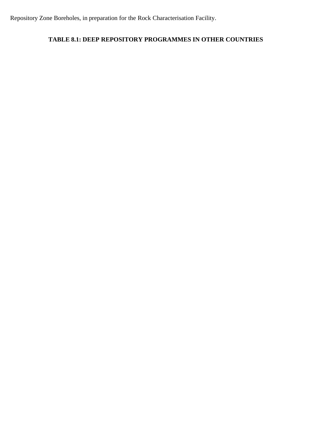Repository Zone Boreholes, in preparation for the Rock Characterisation Facility.

## **TABLE 8.1: DEEP REPOSITORY PROGRAMMES IN OTHER COUNTRIES**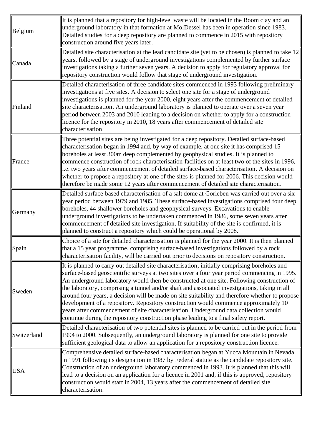| Belgium     | It is planned that a repository for high-level waste will be located in the Boom clay and an<br>underground laboratory in that formation at MolDessel has been in operation since 1983.<br>Detailed studies for a deep repository are planned to commence in 2015 with repository<br>construction around five years later.                                                                                                                                                                                                                                                                                                                                                                                                                                             |
|-------------|------------------------------------------------------------------------------------------------------------------------------------------------------------------------------------------------------------------------------------------------------------------------------------------------------------------------------------------------------------------------------------------------------------------------------------------------------------------------------------------------------------------------------------------------------------------------------------------------------------------------------------------------------------------------------------------------------------------------------------------------------------------------|
| Canada      | Detailed site characterisation at the lead candidate site (yet to be chosen) is planned to take 12<br>years, followed by a stage of underground investigations complemented by further surface<br>investigations taking a further seven years. A decision to apply for regulatory approval for<br>repository construction would follow that stage of underground investigation.                                                                                                                                                                                                                                                                                                                                                                                        |
| Finland     | Detailed characterisation of three candidate sites commenced in 1993 following preliminary<br>investigations at five sites. A decision to select one site for a stage of underground<br>investigations is planned for the year 2000, eight years after the commencement of detailed<br>site characterisation. An underground laboratory is planned to operate over a seven year<br>period between 2003 and 2010 leading to a decision on whether to apply for a construction<br>licence for the repository in 2010, 18 years after commencement of detailed site<br>characterisation.                                                                                                                                                                                  |
| France      | Three potential sites are being investigated for a deep repository. Detailed surface-based<br>characterisation began in 1994 and, by way of example, at one site it has comprised 15<br>boreholes at least 300m deep complemented by geophysical studies. It is planned to<br>commence construction of rock characterisation facilities on at least two of the sites in 1996,<br>i.e. two years after commencement of detailed surface-based characterisation. A decision on<br>whether to propose a repository at one of the sites is planned for 2006. This decision would<br>therefore be made some 12 years after commencement of detailed site characterisation.                                                                                                  |
| Germany     | Detailed surface-based characterisation of a salt dome at Gorleben was carried out over a six<br>year period between 1979 and 1985. These surface-based investigations comprised four deep<br>boreholes, 44 shallower boreholes and geophysical surveys. Excavations to enable<br>underground investigations to be undertaken commenced in 1986, some seven years after<br>commencement of detailed site investigation. If suitability of the site is confirmed, it is<br>planned to construct a repository which could be operational by 2008.                                                                                                                                                                                                                        |
| Spain       | Choice of a site for detailed characterisation is planned for the year 2000. It is then planned<br>that a 15 year programme, comprising surface-based investigations followed by a rock<br>characterisation facility, will be carried out prior to decisions on repository construction.                                                                                                                                                                                                                                                                                                                                                                                                                                                                               |
| Sweden      | It is planned to carry out detailed site characterisation, initially comprising boreholes and<br>surface-based geoscientific surveys at two sites over a four year period commencing in 1995.<br>An underground laboratory would then be constructed at one site. Following construction of<br>the laboratory, comprising a tunnel and/or shaft and associated investigations, taking in all<br>around four years, a decision will be made on site suitability and therefore whether to propose<br>development of a repository. Repository construction would commence approximately 10<br>years after commencement of site characterisation. Underground data collection would<br>continue during the repository construction phase leading to a final safety report. |
| Switzerland | Detailed characterisation of two potential sites is planned to be carried out in the period from<br>1994 to 2000. Subsequently, an underground laboratory is planned for one site to provide<br>sufficient geological data to allow an application for a repository construction licence.                                                                                                                                                                                                                                                                                                                                                                                                                                                                              |
| <b>USA</b>  | Comprehensive detailed surface-based characterisation began at Yucca Mountain in Nevada<br>in 1991 following its designation in 1987 by Federal statute as the candidate repository site.<br>Construction of an underground laboratory commenced in 1993. It is planned that this will<br>lead to a decision on an application for a licence in 2001 and, if this is approved, repository<br>construction would start in 2004, 13 years after the commencement of detailed site<br>characterisation.                                                                                                                                                                                                                                                                   |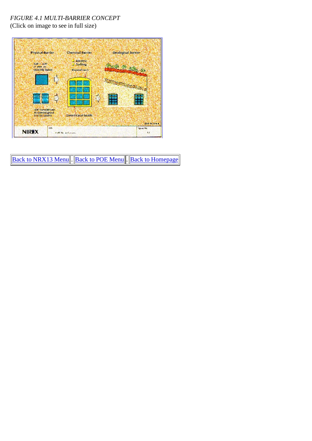## *FIGURE 4.1 MULTI-BARRIER CONCEPT*

(Click on image to see in full size)



Back to NRX13 Menu . Back to POE Menu . Back to Homepage